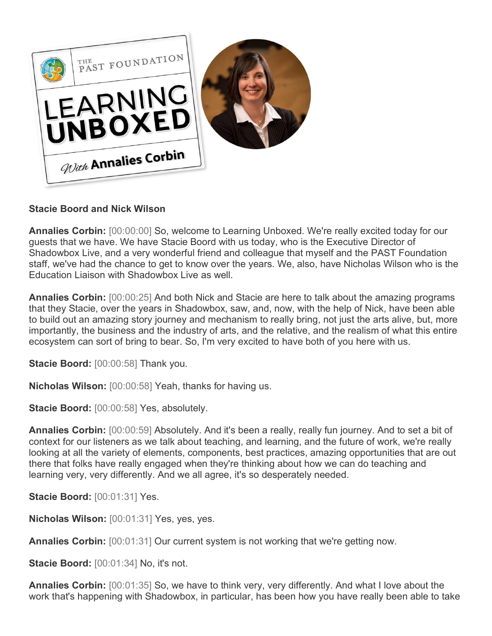

## **Stacie Boord and Nick Wilson**

**Annalies Corbin:** [00:00:00] So, welcome to Learning Unboxed. We're really excited today for our guests that we have. We have Stacie Boord with us today, who is the Executive Director of Shadowbox Live, and a very wonderful friend and colleague that myself and the PAST Foundation staff, we've had the chance to get to know over the years. We, also, have Nicholas Wilson who is the Education Liaison with Shadowbox Live as well.

**Annalies Corbin:** [00:00:25] And both Nick and Stacie are here to talk about the amazing programs that they Stacie, over the years in Shadowbox, saw, and, now, with the help of Nick, have been able to build out an amazing story journey and mechanism to really bring, not just the arts alive, but, more importantly, the business and the industry of arts, and the relative, and the realism of what this entire ecosystem can sort of bring to bear. So, I'm very excited to have both of you here with us.

**Stacie Boord:** [00:00:58] Thank you.

**Nicholas Wilson:** [00:00:58] Yeah, thanks for having us.

**Stacie Boord:** [00:00:58] Yes, absolutely.

**Annalies Corbin:** [00:00:59] Absolutely. And it's been a really, really fun journey. And to set a bit of context for our listeners as we talk about teaching, and learning, and the future of work, we're really looking at all the variety of elements, components, best practices, amazing opportunities that are out there that folks have really engaged when they're thinking about how we can do teaching and learning very, very differently. And we all agree, it's so desperately needed.

**Stacie Boord:** [00:01:31] Yes.

**Nicholas Wilson:** [00:01:31] Yes, yes, yes.

**Annalies Corbin:**  $[00:01:31]$  Our current system is not working that we're getting now.

**Stacie Boord:** [00:01:34] No, it's not.

**Annalies Corbin:** [00:01:35] So, we have to think very, very differently. And what I love about the work that's happening with Shadowbox, in particular, has been how you have really been able to take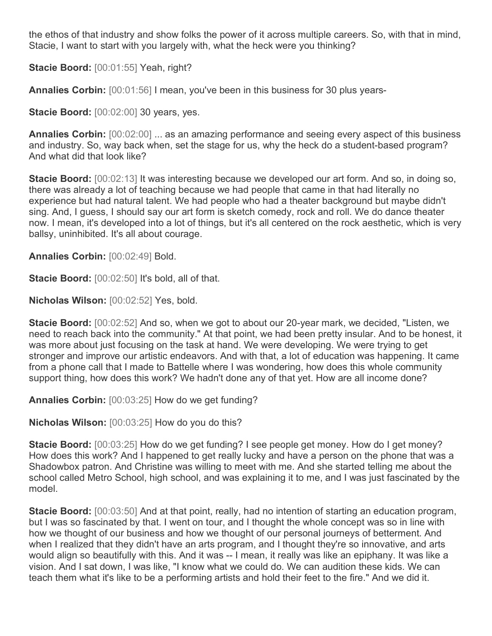the ethos of that industry and show folks the power of it across multiple careers. So, with that in mind, Stacie, I want to start with you largely with, what the heck were you thinking?

**Stacie Boord:** [00:01:55] Yeah, right?

**Annalies Corbin:** [00:01:56] I mean, you've been in this business for 30 plus years-

**Stacie Boord:** [00:02:00] 30 years, yes.

**Annalies Corbin:** [00:02:00] ... as an amazing performance and seeing every aspect of this business and industry. So, way back when, set the stage for us, why the heck do a student-based program? And what did that look like?

**Stacie Boord:** [00:02:13] It was interesting because we developed our art form. And so, in doing so, there was already a lot of teaching because we had people that came in that had literally no experience but had natural talent. We had people who had a theater background but maybe didn't sing. And, I guess, I should say our art form is sketch comedy, rock and roll. We do dance theater now. I mean, it's developed into a lot of things, but it's all centered on the rock aesthetic, which is very ballsy, uninhibited. It's all about courage.

**Annalies Corbin:** [00:02:49] Bold.

**Stacie Boord:** [00:02:50] It's bold, all of that.

**Nicholas Wilson:** [00:02:52] Yes, bold.

**Stacie Boord:** [00:02:52] And so, when we got to about our 20-year mark, we decided, "Listen, we need to reach back into the community." At that point, we had been pretty insular. And to be honest, it was more about just focusing on the task at hand. We were developing. We were trying to get stronger and improve our artistic endeavors. And with that, a lot of education was happening. It came from a phone call that I made to Battelle where I was wondering, how does this whole community support thing, how does this work? We hadn't done any of that yet. How are all income done?

**Annalies Corbin:** [00:03:25] How do we get funding?

**Nicholas Wilson:** [00:03:25] How do you do this?

**Stacie Boord:** [00:03:25] How do we get funding? I see people get money. How do I get money? How does this work? And I happened to get really lucky and have a person on the phone that was a Shadowbox patron. And Christine was willing to meet with me. And she started telling me about the school called Metro School, high school, and was explaining it to me, and I was just fascinated by the model.

**Stacie Boord:** [00:03:50] And at that point, really, had no intention of starting an education program, but I was so fascinated by that. I went on tour, and I thought the whole concept was so in line with how we thought of our business and how we thought of our personal journeys of betterment. And when I realized that they didn't have an arts program, and I thought they're so innovative, and arts would align so beautifully with this. And it was -- I mean, it really was like an epiphany. It was like a vision. And I sat down, I was like, "I know what we could do. We can audition these kids. We can teach them what it's like to be a performing artists and hold their feet to the fire." And we did it.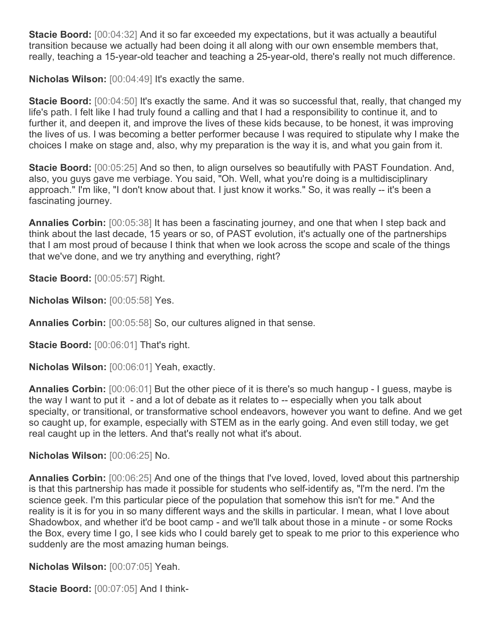**Stacie Boord:** [00:04:32] And it so far exceeded my expectations, but it was actually a beautiful transition because we actually had been doing it all along with our own ensemble members that, really, teaching a 15-year-old teacher and teaching a 25-year-old, there's really not much difference.

**Nicholas Wilson:** [00:04:49] It's exactly the same.

**Stacie Boord:** [00:04:50] It's exactly the same. And it was so successful that, really, that changed my life's path. I felt like I had truly found a calling and that I had a responsibility to continue it, and to further it, and deepen it, and improve the lives of these kids because, to be honest, it was improving the lives of us. I was becoming a better performer because I was required to stipulate why I make the choices I make on stage and, also, why my preparation is the way it is, and what you gain from it.

**Stacie Boord:** [00:05:25] And so then, to align ourselves so beautifully with PAST Foundation. And, also, you guys gave me verbiage. You said, "Oh. Well, what you're doing is a multidisciplinary approach." I'm like, "I don't know about that. I just know it works." So, it was really -- it's been a fascinating journey.

**Annalies Corbin:** [00:05:38] It has been a fascinating journey, and one that when I step back and think about the last decade, 15 years or so, of PAST evolution, it's actually one of the partnerships that I am most proud of because I think that when we look across the scope and scale of the things that we've done, and we try anything and everything, right?

**Stacie Boord:** [00:05:57] Right.

**Nicholas Wilson:** [00:05:58] Yes.

**Annalies Corbin:** [00:05:58] So, our cultures aligned in that sense.

**Stacie Boord:** [00:06:01] That's right.

**Nicholas Wilson:** [00:06:01] Yeah, exactly.

**Annalies Corbin:** [00:06:01] But the other piece of it is there's so much hangup - I guess, maybe is the way I want to put it - and a lot of debate as it relates to -- especially when you talk about specialty, or transitional, or transformative school endeavors, however you want to define. And we get so caught up, for example, especially with STEM as in the early going. And even still today, we get real caught up in the letters. And that's really not what it's about.

**Nicholas Wilson:** [00:06:25] No.

**Annalies Corbin:** [00:06:25] And one of the things that I've loved, loved, loved about this partnership is that this partnership has made it possible for students who self-identify as, "I'm the nerd. I'm the science geek. I'm this particular piece of the population that somehow this isn't for me." And the reality is it is for you in so many different ways and the skills in particular. I mean, what I love about Shadowbox, and whether it'd be boot camp - and we'll talk about those in a minute - or some Rocks the Box, every time I go, I see kids who I could barely get to speak to me prior to this experience who suddenly are the most amazing human beings.

**Nicholas Wilson:** [00:07:05] Yeah.

**Stacie Boord:** [00:07:05] And I think-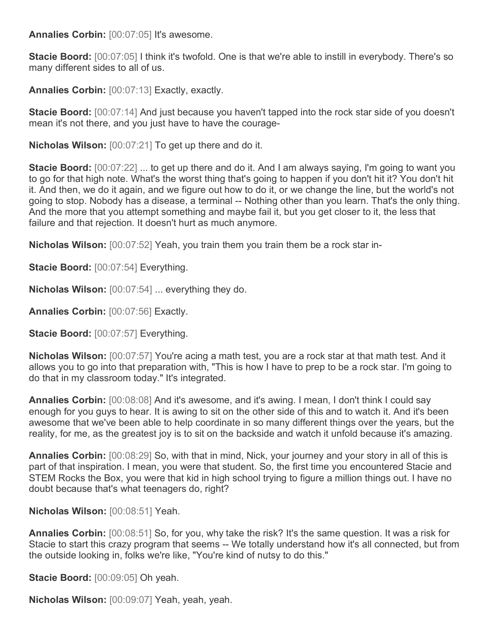**Annalies Corbin:** [00:07:05] It's awesome.

**Stacie Boord:** [00:07:05] I think it's twofold. One is that we're able to instill in everybody. There's so many different sides to all of us.

**Annalies Corbin:** [00:07:13] Exactly, exactly.

**Stacie Boord:** [00:07:14] And just because you haven't tapped into the rock star side of you doesn't mean it's not there, and you just have to have the courage-

**Nicholas Wilson:** [00:07:21] To get up there and do it.

**Stacie Boord:** [00:07:22] ... to get up there and do it. And I am always saying, I'm going to want you to go for that high note. What's the worst thing that's going to happen if you don't hit it? You don't hit it. And then, we do it again, and we figure out how to do it, or we change the line, but the world's not going to stop. Nobody has a disease, a terminal -- Nothing other than you learn. That's the only thing. And the more that you attempt something and maybe fail it, but you get closer to it, the less that failure and that rejection. It doesn't hurt as much anymore.

**Nicholas Wilson:** [00:07:52] Yeah, you train them you train them be a rock star in-

**Stacie Boord:** [00:07:54] Everything.

**Nicholas Wilson:** [00:07:54] ... everything they do.

**Annalies Corbin:** [00:07:56] Exactly.

**Stacie Boord:** [00:07:57] Everything.

**Nicholas Wilson:** [00:07:57] You're acing a math test, you are a rock star at that math test. And it allows you to go into that preparation with, "This is how I have to prep to be a rock star. I'm going to do that in my classroom today." It's integrated.

**Annalies Corbin:** [00:08:08] And it's awesome, and it's awing. I mean, I don't think I could say enough for you guys to hear. It is awing to sit on the other side of this and to watch it. And it's been awesome that we've been able to help coordinate in so many different things over the years, but the reality, for me, as the greatest joy is to sit on the backside and watch it unfold because it's amazing.

**Annalies Corbin:** [00:08:29] So, with that in mind, Nick, your journey and your story in all of this is part of that inspiration. I mean, you were that student. So, the first time you encountered Stacie and STEM Rocks the Box, you were that kid in high school trying to figure a million things out. I have no doubt because that's what teenagers do, right?

**Nicholas Wilson:** [00:08:51] Yeah.

**Annalies Corbin:** [00:08:51] So, for you, why take the risk? It's the same question. It was a risk for Stacie to start this crazy program that seems -- We totally understand how it's all connected, but from the outside looking in, folks we're like, "You're kind of nutsy to do this."

**Stacie Boord:** [00:09:05] Oh yeah.

**Nicholas Wilson:** [00:09:07] Yeah, yeah, yeah.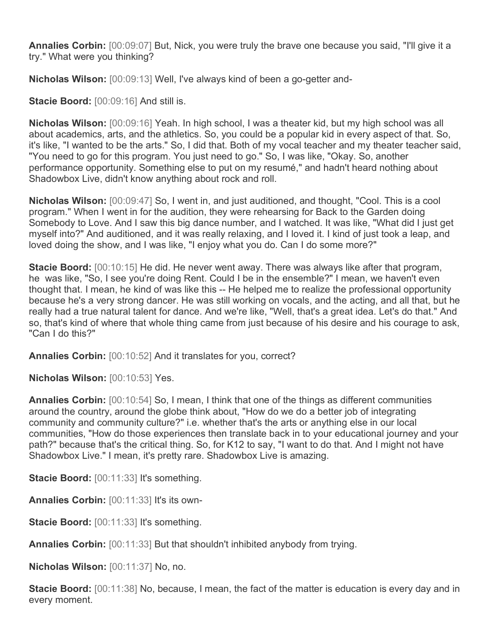**Annalies Corbin:** [00:09:07] But, Nick, you were truly the brave one because you said, "I'll give it a try." What were you thinking?

**Nicholas Wilson:** [00:09:13] Well, I've always kind of been a go-getter and-

**Stacie Boord:** [00:09:16] And still is.

**Nicholas Wilson:** [00:09:16] Yeah. In high school, I was a theater kid, but my high school was all about academics, arts, and the athletics. So, you could be a popular kid in every aspect of that. So, it's like, "I wanted to be the arts." So, I did that. Both of my vocal teacher and my theater teacher said, "You need to go for this program. You just need to go." So, I was like, "Okay. So, another performance opportunity. Something else to put on my resumé," and hadn't heard nothing about Shadowbox Live, didn't know anything about rock and roll.

**Nicholas Wilson:** [00:09:47] So, I went in, and just auditioned, and thought, "Cool. This is a cool program." When I went in for the audition, they were rehearsing for Back to the Garden doing Somebody to Love. And I saw this big dance number, and I watched. It was like, "What did I just get myself into?" And auditioned, and it was really relaxing, and I loved it. I kind of just took a leap, and loved doing the show, and I was like, "I enjoy what you do. Can I do some more?"

**Stacie Boord:** [00:10:15] He did. He never went away. There was always like after that program, he was like, "So, I see you're doing Rent. Could I be in the ensemble?" I mean, we haven't even thought that. I mean, he kind of was like this -- He helped me to realize the professional opportunity because he's a very strong dancer. He was still working on vocals, and the acting, and all that, but he really had a true natural talent for dance. And we're like, "Well, that's a great idea. Let's do that." And so, that's kind of where that whole thing came from just because of his desire and his courage to ask, "Can I do this?"

**Annalies Corbin:** [00:10:52] And it translates for you, correct?

**Nicholas Wilson:** [00:10:53] Yes.

**Annalies Corbin:** [00:10:54] So, I mean, I think that one of the things as different communities around the country, around the globe think about, "How do we do a better job of integrating community and community culture?" i.e. whether that's the arts or anything else in our local communities, "How do those experiences then translate back in to your educational journey and your path?" because that's the critical thing. So, for K12 to say, "I want to do that. And I might not have Shadowbox Live." I mean, it's pretty rare. Shadowbox Live is amazing.

**Stacie Boord:** [00:11:33] It's something.

**Annalies Corbin:** [00:11:33] It's its own-

**Stacie Boord:** [00:11:33] It's something.

**Annalies Corbin:** [00:11:33] But that shouldn't inhibited anybody from trying.

**Nicholas Wilson:** [00:11:37] No, no.

**Stacie Boord:** [00:11:38] No, because, I mean, the fact of the matter is education is every day and in every moment.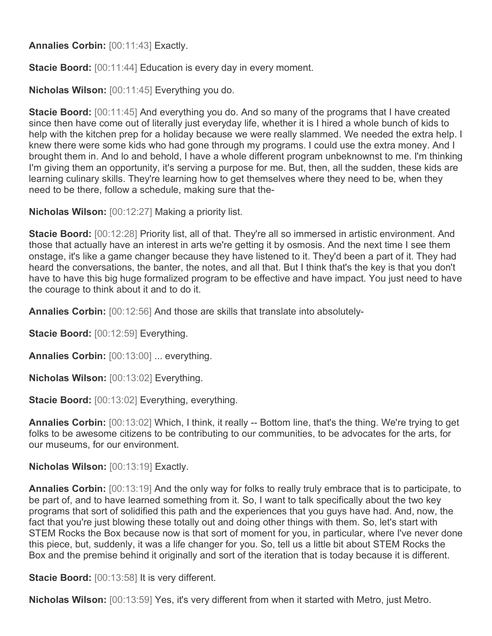**Annalies Corbin:** [00:11:43] Exactly.

**Stacie Boord:** [00:11:44] Education is every day in every moment.

**Nicholas Wilson:** [00:11:45] Everything you do.

**Stacie Boord:** [00:11:45] And everything you do. And so many of the programs that I have created since then have come out of literally just everyday life, whether it is I hired a whole bunch of kids to help with the kitchen prep for a holiday because we were really slammed. We needed the extra help. I knew there were some kids who had gone through my programs. I could use the extra money. And I brought them in. And lo and behold, I have a whole different program unbeknownst to me. I'm thinking I'm giving them an opportunity, it's serving a purpose for me. But, then, all the sudden, these kids are learning culinary skills. They're learning how to get themselves where they need to be, when they need to be there, follow a schedule, making sure that the-

**Nicholas Wilson:** [00:12:27] Making a priority list.

**Stacie Boord:** [00:12:28] Priority list, all of that. They're all so immersed in artistic environment. And those that actually have an interest in arts we're getting it by osmosis. And the next time I see them onstage, it's like a game changer because they have listened to it. They'd been a part of it. They had heard the conversations, the banter, the notes, and all that. But I think that's the key is that you don't have to have this big huge formalized program to be effective and have impact. You just need to have the courage to think about it and to do it.

**Annalies Corbin:** [00:12:56] And those are skills that translate into absolutely-

**Stacie Boord:** [00:12:59] Everything.

**Annalies Corbin:** [00:13:00] ... everything.

**Nicholas Wilson:** [00:13:02] Everything.

**Stacie Boord:** [00:13:02] Everything, everything.

**Annalies Corbin:** [00:13:02] Which, I think, it really -- Bottom line, that's the thing. We're trying to get folks to be awesome citizens to be contributing to our communities, to be advocates for the arts, for our museums, for our environment.

**Nicholas Wilson:** [00:13:19] Exactly.

**Annalies Corbin:** [00:13:19] And the only way for folks to really truly embrace that is to participate, to be part of, and to have learned something from it. So, I want to talk specifically about the two key programs that sort of solidified this path and the experiences that you guys have had. And, now, the fact that you're just blowing these totally out and doing other things with them. So, let's start with STEM Rocks the Box because now is that sort of moment for you, in particular, where I've never done this piece, but, suddenly, it was a life changer for you. So, tell us a little bit about STEM Rocks the Box and the premise behind it originally and sort of the iteration that is today because it is different.

**Stacie Boord:** [00:13:58] It is very different.

**Nicholas Wilson:** [00:13:59] Yes, it's very different from when it started with Metro, just Metro.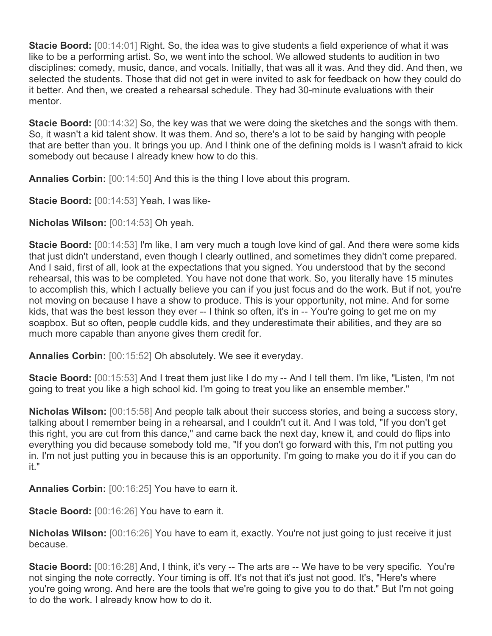**Stacie Boord:** [00:14:01] Right. So, the idea was to give students a field experience of what it was like to be a performing artist. So, we went into the school. We allowed students to audition in two disciplines: comedy, music, dance, and vocals. Initially, that was all it was. And they did. And then, we selected the students. Those that did not get in were invited to ask for feedback on how they could do it better. And then, we created a rehearsal schedule. They had 30-minute evaluations with their mentor.

**Stacie Boord:** [00:14:32] So, the key was that we were doing the sketches and the songs with them. So, it wasn't a kid talent show. It was them. And so, there's a lot to be said by hanging with people that are better than you. It brings you up. And I think one of the defining molds is I wasn't afraid to kick somebody out because I already knew how to do this.

**Annalies Corbin:** [00:14:50] And this is the thing I love about this program.

**Stacie Boord:** [00:14:53] Yeah, I was like-

**Nicholas Wilson:** [00:14:53] Oh yeah.

**Stacie Boord:** [00:14:53] I'm like, I am very much a tough love kind of gal. And there were some kids that just didn't understand, even though I clearly outlined, and sometimes they didn't come prepared. And I said, first of all, look at the expectations that you signed. You understood that by the second rehearsal, this was to be completed. You have not done that work. So, you literally have 15 minutes to accomplish this, which I actually believe you can if you just focus and do the work. But if not, you're not moving on because I have a show to produce. This is your opportunity, not mine. And for some kids, that was the best lesson they ever -- I think so often, it's in -- You're going to get me on my soapbox. But so often, people cuddle kids, and they underestimate their abilities, and they are so much more capable than anyone gives them credit for.

**Annalies Corbin:** [00:15:52] Oh absolutely. We see it everyday.

**Stacie Boord:** [00:15:53] And I treat them just like I do my -- And I tell them. I'm like, "Listen, I'm not going to treat you like a high school kid. I'm going to treat you like an ensemble member."

**Nicholas Wilson:** [00:15:58] And people talk about their success stories, and being a success story, talking about I remember being in a rehearsal, and I couldn't cut it. And I was told, "If you don't get this right, you are cut from this dance," and came back the next day, knew it, and could do flips into everything you did because somebody told me, "If you don't go forward with this, I'm not putting you in. I'm not just putting you in because this is an opportunity. I'm going to make you do it if you can do it."

**Annalies Corbin:** [00:16:25] You have to earn it.

**Stacie Boord:** [00:16:26] You have to earn it.

**Nicholas Wilson:** [00:16:26] You have to earn it, exactly. You're not just going to just receive it just because.

**Stacie Boord:** [00:16:28] And, I think, it's very -- The arts are -- We have to be very specific. You're not singing the note correctly. Your timing is off. It's not that it's just not good. It's, "Here's where you're going wrong. And here are the tools that we're going to give you to do that." But I'm not going to do the work. I already know how to do it.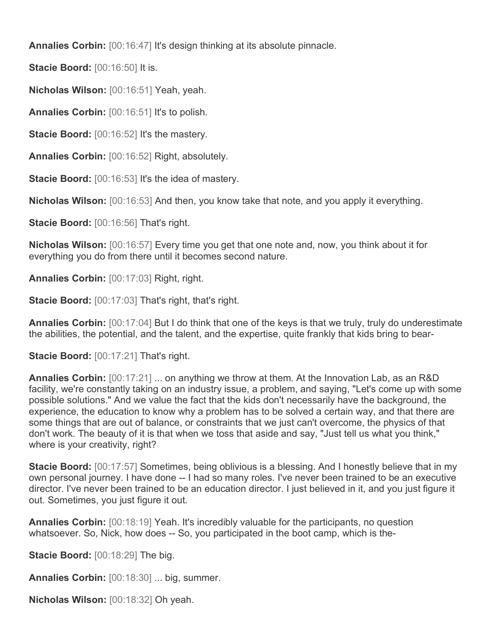**Annalies Corbin:** [00:16:47] It's design thinking at its absolute pinnacle.

**Stacie Boord: [00:16:50] It is.** 

**Nicholas Wilson:** [00:16:51] Yeah, yeah.

**Annalies Corbin:** [00:16:51] It's to polish.

**Stacie Boord:** [00:16:52] It's the mastery.

**Annalies Corbin:** [00:16:52] Right, absolutely.

**Stacie Boord:** [00:16:53] It's the idea of mastery.

**Nicholas Wilson:** [00:16:53] And then, you know take that note, and you apply it everything.

**Stacie Boord:** [00:16:56] That's right.

**Nicholas Wilson:** [00:16:57] Every time you get that one note and, now, you think about it for everything you do from there until it becomes second nature.

**Annalies Corbin:** [00:17:03] Right, right.

**Stacie Boord:** [00:17:03] That's right, that's right.

**Annalies Corbin:** [00:17:04] But I do think that one of the keys is that we truly, truly do underestimate the abilities, the potential, and the talent, and the expertise, quite frankly that kids bring to bear-

**Stacie Boord:** [00:17:21] That's right.

**Annalies Corbin:** [00:17:21] ... on anything we throw at them. At the Innovation Lab, as an R&D facility, we're constantly taking on an industry issue, a problem, and saying, "Let's come up with some possible solutions." And we value the fact that the kids don't necessarily have the background, the experience, the education to know why a problem has to be solved a certain way, and that there are some things that are out of balance, or constraints that we just can't overcome, the physics of that don't work. The beauty of it is that when we toss that aside and say, "Just tell us what you think," where is your creativity, right?

**Stacie Boord:** [00:17:57] Sometimes, being oblivious is a blessing. And I honestly believe that in my own personal journey. I have done -- I had so many roles. I've never been trained to be an executive director. I've never been trained to be an education director. I just believed in it, and you just figure it out. Sometimes, you just figure it out.

**Annalies Corbin:** [00:18:19] Yeah. It's incredibly valuable for the participants, no question whatsoever. So, Nick, how does -- So, you participated in the boot camp, which is the-

**Stacie Boord:** [00:18:29] The big.

**Annalies Corbin:** [00:18:30] ... big, summer.

**Nicholas Wilson:** [00:18:32] Oh yeah.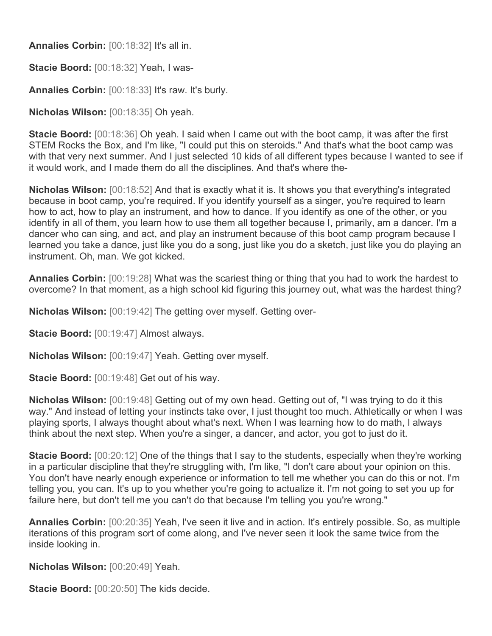**Annalies Corbin:** [00:18:32] It's all in.

**Stacie Boord:** [00:18:32] Yeah, I was-

**Annalies Corbin:** [00:18:33] It's raw. It's burly.

**Nicholas Wilson:** [00:18:35] Oh yeah.

**Stacie Boord:** [00:18:36] Oh yeah. I said when I came out with the boot camp, it was after the first STEM Rocks the Box, and I'm like, "I could put this on steroids." And that's what the boot camp was with that very next summer. And I just selected 10 kids of all different types because I wanted to see if it would work, and I made them do all the disciplines. And that's where the-

**Nicholas Wilson:** [00:18:52] And that is exactly what it is. It shows you that everything's integrated because in boot camp, you're required. If you identify yourself as a singer, you're required to learn how to act, how to play an instrument, and how to dance. If you identify as one of the other, or you identify in all of them, you learn how to use them all together because I, primarily, am a dancer. I'm a dancer who can sing, and act, and play an instrument because of this boot camp program because I learned you take a dance, just like you do a song, just like you do a sketch, just like you do playing an instrument. Oh, man. We got kicked.

**Annalies Corbin:** [00:19:28] What was the scariest thing or thing that you had to work the hardest to overcome? In that moment, as a high school kid figuring this journey out, what was the hardest thing?

**Nicholas Wilson:** [00:19:42] The getting over myself. Getting over-

**Stacie Boord:** [00:19:47] Almost always.

**Nicholas Wilson:** [00:19:47] Yeah. Getting over myself.

**Stacie Boord:** [00:19:48] Get out of his way.

**Nicholas Wilson:** [00:19:48] Getting out of my own head. Getting out of, "I was trying to do it this way." And instead of letting your instincts take over, I just thought too much. Athletically or when I was playing sports, I always thought about what's next. When I was learning how to do math, I always think about the next step. When you're a singer, a dancer, and actor, you got to just do it.

**Stacie Boord:** [00:20:12] One of the things that I say to the students, especially when they're working in a particular discipline that they're struggling with, I'm like, "I don't care about your opinion on this. You don't have nearly enough experience or information to tell me whether you can do this or not. I'm telling you, you can. It's up to you whether you're going to actualize it. I'm not going to set you up for failure here, but don't tell me you can't do that because I'm telling you you're wrong."

**Annalies Corbin:** [00:20:35] Yeah, I've seen it live and in action. It's entirely possible. So, as multiple iterations of this program sort of come along, and I've never seen it look the same twice from the inside looking in.

**Nicholas Wilson:** [00:20:49] Yeah.

**Stacie Boord:** [00:20:50] The kids decide.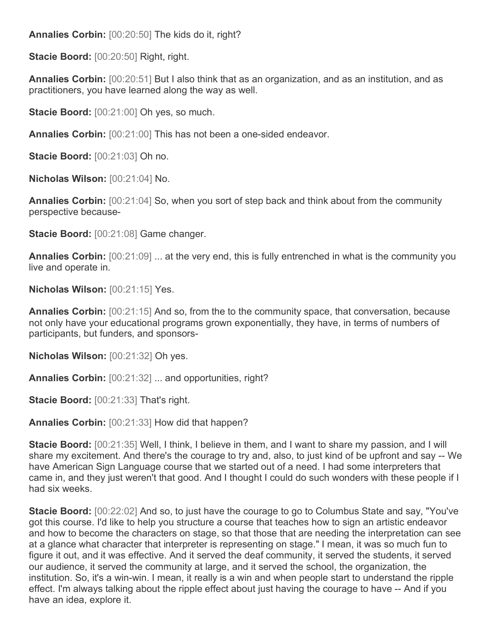**Annalies Corbin:** [00:20:50] The kids do it, right?

**Stacie Boord:** [00:20:50] Right, right.

**Annalies Corbin:** [00:20:51] But I also think that as an organization, and as an institution, and as practitioners, you have learned along the way as well.

**Stacie Boord:** [00:21:00] Oh yes, so much.

**Annalies Corbin:** [00:21:00] This has not been a one-sided endeavor.

**Stacie Boord:** [00:21:03] Oh no.

**Nicholas Wilson:** [00:21:04] No.

**Annalies Corbin:** [00:21:04] So, when you sort of step back and think about from the community perspective because-

**Stacie Boord:** [00:21:08] Game changer.

**Annalies Corbin:** [00:21:09] ... at the very end, this is fully entrenched in what is the community you live and operate in.

**Nicholas Wilson:** [00:21:15] Yes.

**Annalies Corbin:** [00:21:15] And so, from the to the community space, that conversation, because not only have your educational programs grown exponentially, they have, in terms of numbers of participants, but funders, and sponsors-

**Nicholas Wilson:** [00:21:32] Oh yes.

**Annalies Corbin:** [00:21:32] ... and opportunities, right?

**Stacie Boord:** [00:21:33] That's right.

**Annalies Corbin:** [00:21:33] How did that happen?

**Stacie Boord:** [00:21:35] Well, I think, I believe in them, and I want to share my passion, and I will share my excitement. And there's the courage to try and, also, to just kind of be upfront and say -- We have American Sign Language course that we started out of a need. I had some interpreters that came in, and they just weren't that good. And I thought I could do such wonders with these people if I had six weeks.

**Stacie Boord:** [00:22:02] And so, to just have the courage to go to Columbus State and say, "You've got this course. I'd like to help you structure a course that teaches how to sign an artistic endeavor and how to become the characters on stage, so that those that are needing the interpretation can see at a glance what character that interpreter is representing on stage." I mean, it was so much fun to figure it out, and it was effective. And it served the deaf community, it served the students, it served our audience, it served the community at large, and it served the school, the organization, the institution. So, it's a win-win. I mean, it really is a win and when people start to understand the ripple effect. I'm always talking about the ripple effect about just having the courage to have -- And if you have an idea, explore it.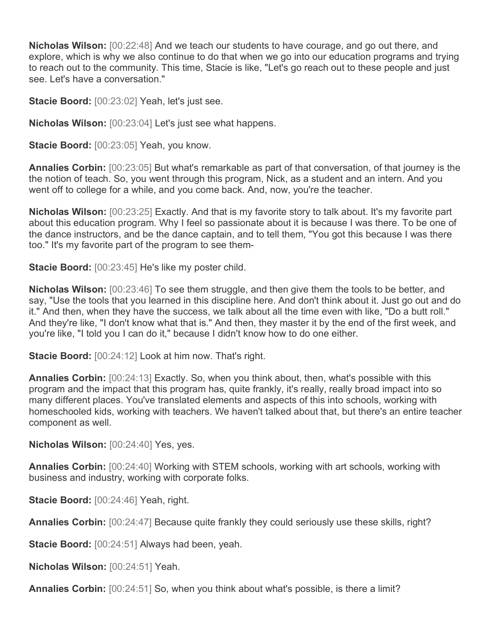**Nicholas Wilson:** [00:22:48] And we teach our students to have courage, and go out there, and explore, which is why we also continue to do that when we go into our education programs and trying to reach out to the community. This time, Stacie is like, "Let's go reach out to these people and just see. Let's have a conversation."

**Stacie Boord:** [00:23:02] Yeah, let's just see.

**Nicholas Wilson:** [00:23:04] Let's just see what happens.

**Stacie Boord:** [00:23:05] Yeah, you know.

**Annalies Corbin:** [00:23:05] But what's remarkable as part of that conversation, of that journey is the the notion of teach. So, you went through this program, Nick, as a student and an intern. And you went off to college for a while, and you come back. And, now, you're the teacher.

**Nicholas Wilson:** [00:23:25] Exactly. And that is my favorite story to talk about. It's my favorite part about this education program. Why I feel so passionate about it is because I was there. To be one of the dance instructors, and be the dance captain, and to tell them, "You got this because I was there too." It's my favorite part of the program to see them-

**Stacie Boord:** [00:23:45] He's like my poster child.

**Nicholas Wilson:** [00:23:46] To see them struggle, and then give them the tools to be better, and say, "Use the tools that you learned in this discipline here. And don't think about it. Just go out and do it." And then, when they have the success, we talk about all the time even with like, "Do a butt roll." And they're like, "I don't know what that is." And then, they master it by the end of the first week, and you're like, "I told you I can do it," because I didn't know how to do one either.

**Stacie Boord:** [00:24:12] Look at him now. That's right.

**Annalies Corbin:** [00:24:13] Exactly. So, when you think about, then, what's possible with this program and the impact that this program has, quite frankly, it's really, really broad impact into so many different places. You've translated elements and aspects of this into schools, working with homeschooled kids, working with teachers. We haven't talked about that, but there's an entire teacher component as well.

**Nicholas Wilson:** [00:24:40] Yes, yes.

**Annalies Corbin:** [00:24:40] Working with STEM schools, working with art schools, working with business and industry, working with corporate folks.

**Stacie Boord:** [00:24:46] Yeah, right.

**Annalies Corbin:** [00:24:47] Because quite frankly they could seriously use these skills, right?

**Stacie Boord:** [00:24:51] Always had been, yeah.

**Nicholas Wilson:** [00:24:51] Yeah.

**Annalies Corbin:** [00:24:51] So, when you think about what's possible, is there a limit?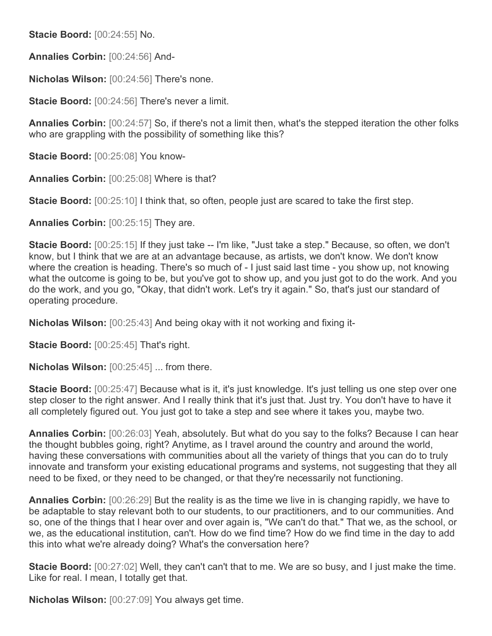**Stacie Boord:** [00:24:55] No.

**Annalies Corbin:** [00:24:56] And-

**Nicholas Wilson:** [00:24:56] There's none.

**Stacie Boord:** [00:24:56] There's never a limit.

**Annalies Corbin:** [00:24:57] So, if there's not a limit then, what's the stepped iteration the other folks who are grappling with the possibility of something like this?

**Stacie Boord:** [00:25:08] You know-

**Annalies Corbin:** [00:25:08] Where is that?

**Stacie Boord:** [00:25:10] I think that, so often, people just are scared to take the first step.

**Annalies Corbin:** [00:25:15] They are.

**Stacie Boord:** [00:25:15] If they just take -- I'm like, "Just take a step." Because, so often, we don't know, but I think that we are at an advantage because, as artists, we don't know. We don't know where the creation is heading. There's so much of - I just said last time - you show up, not knowing what the outcome is going to be, but you've got to show up, and you just got to do the work. And you do the work, and you go, "Okay, that didn't work. Let's try it again." So, that's just our standard of operating procedure.

**Nicholas Wilson:** [00:25:43] And being okay with it not working and fixing it-

**Stacie Boord:** [00:25:45] That's right.

**Nicholas Wilson:** [00:25:45] ... from there.

**Stacie Boord:**  $[00:25:47]$  Because what is it, it's just knowledge. It's just telling us one step over one step closer to the right answer. And I really think that it's just that. Just try. You don't have to have it all completely figured out. You just got to take a step and see where it takes you, maybe two.

**Annalies Corbin:** [00:26:03] Yeah, absolutely. But what do you say to the folks? Because I can hear the thought bubbles going, right? Anytime, as I travel around the country and around the world, having these conversations with communities about all the variety of things that you can do to truly innovate and transform your existing educational programs and systems, not suggesting that they all need to be fixed, or they need to be changed, or that they're necessarily not functioning.

**Annalies Corbin:** [00:26:29] But the reality is as the time we live in is changing rapidly, we have to be adaptable to stay relevant both to our students, to our practitioners, and to our communities. And so, one of the things that I hear over and over again is, "We can't do that." That we, as the school, or we, as the educational institution, can't. How do we find time? How do we find time in the day to add this into what we're already doing? What's the conversation here?

**Stacie Boord:** [00:27:02] Well, they can't can't that to me. We are so busy, and I just make the time. Like for real. I mean, I totally get that.

**Nicholas Wilson:** [00:27:09] You always get time.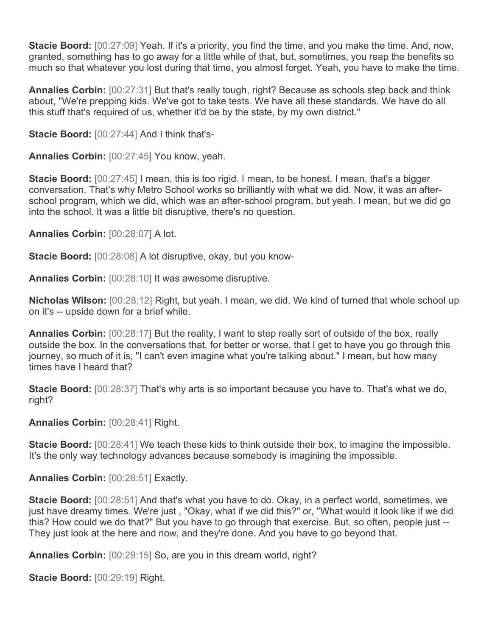**Stacie Boord:** [00:27:09] Yeah. If it's a priority, you find the time, and you make the time. And, now, granted, something has to go away for a little while of that, but, sometimes, you reap the benefits so much so that whatever you lost during that time, you almost forget. Yeah, you have to make the time.

**Annalies Corbin:** [00:27:31] But that's really tough, right? Because as schools step back and think about, "We're prepping kids. We've got to take tests. We have all these standards. We have do all this stuff that's required of us, whether it'd be by the state, by my own district."

**Stacie Boord:** [00:27:44] And I think that's-

**Annalies Corbin:** [00:27:45] You know, yeah.

**Stacie Boord:** [00:27:45] I mean, this is too rigid. I mean, to be honest. I mean, that's a bigger conversation. That's why Metro School works so brilliantly with what we did. Now, it was an afterschool program, which we did, which was an after-school program, but yeah. I mean, but we did go into the school. It was a little bit disruptive, there's no question.

**Annalies Corbin:** [00:28:07] A lot.

**Stacie Boord:** [00:28:08] A lot disruptive, okay, but you know-

**Annalies Corbin:** [00:28:10] It was awesome disruptive.

**Nicholas Wilson:** [00:28:12] Right, but yeah. I mean, we did. We kind of turned that whole school up on it's -- upside down for a brief while.

**Annalies Corbin:** [00:28:17] But the reality, I want to step really sort of outside of the box, really outside the box. In the conversations that, for better or worse, that I get to have you go through this journey, so much of it is, "I can't even imagine what you're talking about." I mean, but how many times have I heard that?

**Stacie Boord:** [00:28:37] That's why arts is so important because you have to. That's what we do, right?

**Annalies Corbin:** [00:28:41] Right.

**Stacie Boord:** [00:28:41] We teach these kids to think outside their box, to imagine the impossible. It's the only way technology advances because somebody is imagining the impossible.

**Annalies Corbin:** [00:28:51] Exactly.

**Stacie Boord:** [00:28:51] And that's what you have to do. Okay, in a perfect world, sometimes, we just have dreamy times. We're just , "Okay, what if we did this?" or, "What would it look like if we did this? How could we do that?" But you have to go through that exercise. But, so often, people just -- They just look at the here and now, and they're done. And you have to go beyond that.

**Annalies Corbin:** [00:29:15] So, are you in this dream world, right?

**Stacie Boord:** [00:29:19] Right.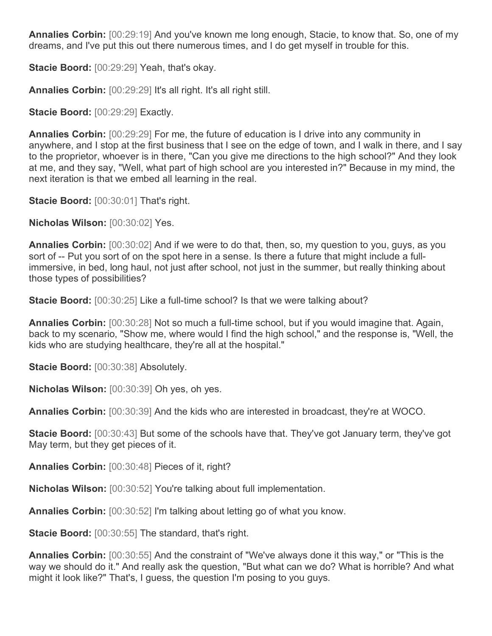**Annalies Corbin:** [00:29:19] And you've known me long enough, Stacie, to know that. So, one of my dreams, and I've put this out there numerous times, and I do get myself in trouble for this.

**Stacie Boord:** [00:29:29] Yeah, that's okay.

**Annalies Corbin:** [00:29:29] It's all right. It's all right still.

**Stacie Boord: [00:29:29] Exactly.** 

**Annalies Corbin:** [00:29:29] For me, the future of education is I drive into any community in anywhere, and I stop at the first business that I see on the edge of town, and I walk in there, and I say to the proprietor, whoever is in there, "Can you give me directions to the high school?" And they look at me, and they say, "Well, what part of high school are you interested in?" Because in my mind, the next iteration is that we embed all learning in the real.

**Stacie Boord:** [00:30:01] That's right.

**Nicholas Wilson:** [00:30:02] Yes.

**Annalies Corbin:** [00:30:02] And if we were to do that, then, so, my question to you, guys, as you sort of -- Put you sort of on the spot here in a sense. Is there a future that might include a fullimmersive, in bed, long haul, not just after school, not just in the summer, but really thinking about those types of possibilities?

**Stacie Boord:** [00:30:25] Like a full-time school? Is that we were talking about?

**Annalies Corbin:** [00:30:28] Not so much a full-time school, but if you would imagine that. Again, back to my scenario, "Show me, where would I find the high school," and the response is, "Well, the kids who are studying healthcare, they're all at the hospital."

**Stacie Boord:** [00:30:38] Absolutely.

**Nicholas Wilson:** [00:30:39] Oh yes, oh yes.

**Annalies Corbin:** [00:30:39] And the kids who are interested in broadcast, they're at WOCO.

**Stacie Boord:** [00:30:43] But some of the schools have that. They've got January term, they've got May term, but they get pieces of it.

**Annalies Corbin:** [00:30:48] Pieces of it, right?

**Nicholas Wilson:** [00:30:52] You're talking about full implementation.

**Annalies Corbin:** [00:30:52] I'm talking about letting go of what you know.

**Stacie Boord:** [00:30:55] The standard, that's right.

**Annalies Corbin:** [00:30:55] And the constraint of "We've always done it this way," or "This is the way we should do it." And really ask the question, "But what can we do? What is horrible? And what might it look like?" That's, I guess, the question I'm posing to you guys.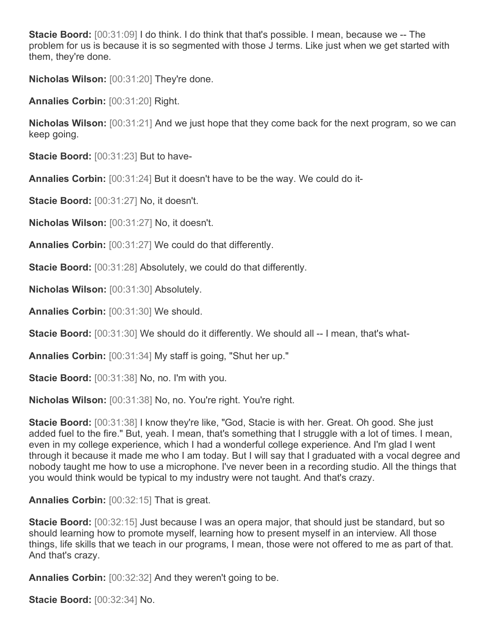**Stacie Boord:** [00:31:09] I do think. I do think that that's possible. I mean, because we -- The problem for us is because it is so segmented with those J terms. Like just when we get started with them, they're done.

**Nicholas Wilson:** [00:31:20] They're done.

**Annalies Corbin:** [00:31:20] Right.

**Nicholas Wilson:** [00:31:21] And we just hope that they come back for the next program, so we can keep going.

**Stacie Boord:** [00:31:23] But to have-

**Annalies Corbin:** [00:31:24] But it doesn't have to be the way. We could do it-

**Stacie Boord:** [00:31:27] No, it doesn't.

**Nicholas Wilson:** [00:31:27] No, it doesn't.

**Annalies Corbin:** [00:31:27] We could do that differently.

**Stacie Boord:** [00:31:28] Absolutely, we could do that differently.

**Nicholas Wilson:** [00:31:30] Absolutely.

**Annalies Corbin:** [00:31:30] We should.

**Stacie Boord:** [00:31:30] We should do it differently. We should all -- I mean, that's what-

**Annalies Corbin:** [00:31:34] My staff is going, "Shut her up."

**Stacie Boord:** [00:31:38] No, no. I'm with you.

**Nicholas Wilson:** [00:31:38] No, no. You're right. You're right.

**Stacie Boord:** [00:31:38] I know they're like, "God, Stacie is with her. Great. Oh good. She just added fuel to the fire." But, yeah. I mean, that's something that I struggle with a lot of times. I mean, even in my college experience, which I had a wonderful college experience. And I'm glad I went through it because it made me who I am today. But I will say that I graduated with a vocal degree and nobody taught me how to use a microphone. I've never been in a recording studio. All the things that you would think would be typical to my industry were not taught. And that's crazy.

**Annalies Corbin:** [00:32:15] That is great.

**Stacie Boord:** [00:32:15] Just because I was an opera major, that should just be standard, but so should learning how to promote myself, learning how to present myself in an interview. All those things, life skills that we teach in our programs, I mean, those were not offered to me as part of that. And that's crazy.

**Annalies Corbin:** [00:32:32] And they weren't going to be.

**Stacie Boord:** [00:32:34] No.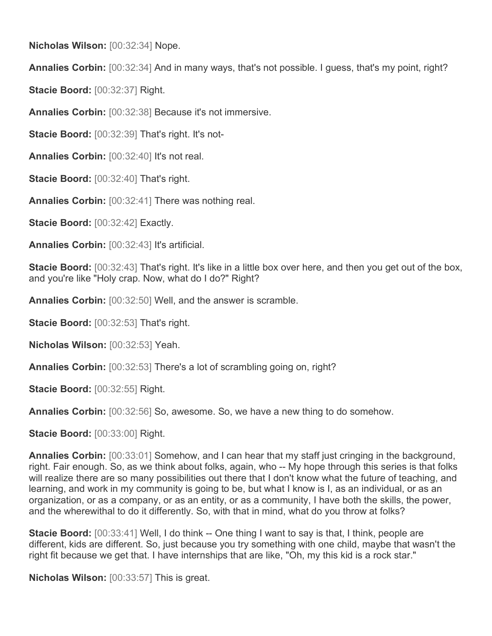**Nicholas Wilson:** [00:32:34] Nope.

**Annalies Corbin:** [00:32:34] And in many ways, that's not possible. I guess, that's my point, right?

**Stacie Boord:** [00:32:37] Right.

**Annalies Corbin:** [00:32:38] Because it's not immersive.

**Stacie Boord:** [00:32:39] That's right. It's not-

**Annalies Corbin:** [00:32:40] It's not real.

**Stacie Boord:** [00:32:40] That's right.

**Annalies Corbin:** [00:32:41] There was nothing real.

**Stacie Boord:** [00:32:42] Exactly.

**Annalies Corbin:** [00:32:43] It's artificial.

**Stacie Boord:** [00:32:43] That's right. It's like in a little box over here, and then you get out of the box, and you're like "Holy crap. Now, what do I do?" Right?

**Annalies Corbin:** [00:32:50] Well, and the answer is scramble.

**Stacie Boord:** [00:32:53] That's right.

**Nicholas Wilson:** [00:32:53] Yeah.

**Annalies Corbin:** [00:32:53] There's a lot of scrambling going on, right?

**Stacie Boord:** [00:32:55] Right.

**Annalies Corbin:** [00:32:56] So, awesome. So, we have a new thing to do somehow.

**Stacie Boord:** [00:33:00] Right.

**Annalies Corbin:** [00:33:01] Somehow, and I can hear that my staff just cringing in the background, right. Fair enough. So, as we think about folks, again, who -- My hope through this series is that folks will realize there are so many possibilities out there that I don't know what the future of teaching, and learning, and work in my community is going to be, but what I know is I, as an individual, or as an organization, or as a company, or as an entity, or as a community, I have both the skills, the power, and the wherewithal to do it differently. So, with that in mind, what do you throw at folks?

**Stacie Boord:** [00:33:41] Well, I do think -- One thing I want to say is that, I think, people are different, kids are different. So, just because you try something with one child, maybe that wasn't the right fit because we get that. I have internships that are like, "Oh, my this kid is a rock star."

**Nicholas Wilson:** [00:33:57] This is great.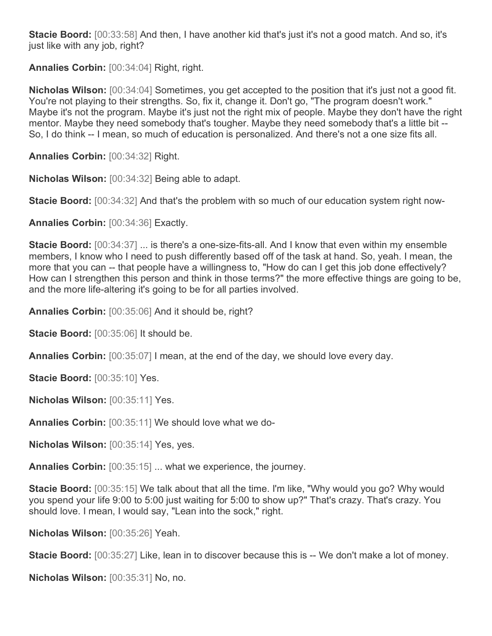**Stacie Boord:** [00:33:58] And then, I have another kid that's just it's not a good match. And so, it's just like with any job, right?

**Annalies Corbin:** [00:34:04] Right, right.

**Nicholas Wilson:** [00:34:04] Sometimes, you get accepted to the position that it's just not a good fit. You're not playing to their strengths. So, fix it, change it. Don't go, "The program doesn't work." Maybe it's not the program. Maybe it's just not the right mix of people. Maybe they don't have the right mentor. Maybe they need somebody that's tougher. Maybe they need somebody that's a little bit -- So, I do think -- I mean, so much of education is personalized. And there's not a one size fits all.

**Annalies Corbin:** [00:34:32] Right.

**Nicholas Wilson:** [00:34:32] Being able to adapt.

**Stacie Boord:** [00:34:32] And that's the problem with so much of our education system right now-

**Annalies Corbin:** [00:34:36] Exactly.

**Stacie Boord:** [00:34:37] ... is there's a one-size-fits-all. And I know that even within my ensemble members, I know who I need to push differently based off of the task at hand. So, yeah. I mean, the more that you can -- that people have a willingness to, "How do can I get this job done effectively? How can I strengthen this person and think in those terms?" the more effective things are going to be, and the more life-altering it's going to be for all parties involved.

**Annalies Corbin:** [00:35:06] And it should be, right?

**Stacie Boord:** [00:35:06] It should be.

**Annalies Corbin:** [00:35:07] I mean, at the end of the day, we should love every day.

**Stacie Boord:** [00:35:10] Yes.

**Nicholas Wilson:** [00:35:11] Yes.

**Annalies Corbin:** [00:35:11] We should love what we do-

**Nicholas Wilson:** [00:35:14] Yes, yes.

**Annalies Corbin:** [00:35:15] ... what we experience, the journey.

**Stacie Boord:** [00:35:15] We talk about that all the time. I'm like, "Why would you go? Why would you spend your life 9:00 to 5:00 just waiting for 5:00 to show up?" That's crazy. That's crazy. You should love. I mean, I would say, "Lean into the sock," right.

**Nicholas Wilson:** [00:35:26] Yeah.

**Stacie Boord:** [00:35:27] Like, lean in to discover because this is -- We don't make a lot of money.

**Nicholas Wilson:** [00:35:31] No, no.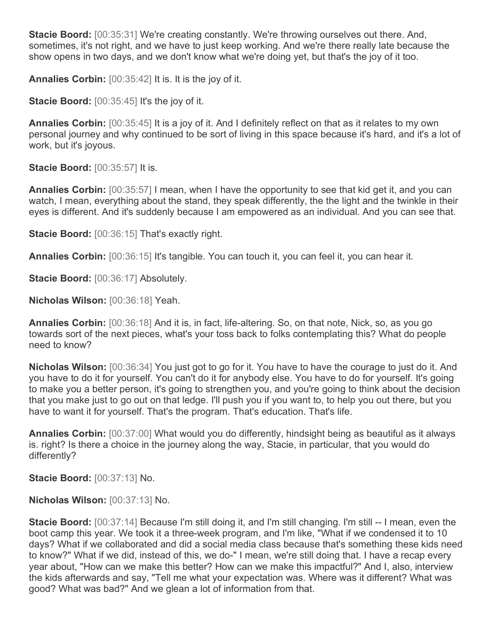**Stacie Boord:** [00:35:31] We're creating constantly. We're throwing ourselves out there. And, sometimes, it's not right, and we have to just keep working. And we're there really late because the show opens in two days, and we don't know what we're doing yet, but that's the joy of it too.

**Annalies Corbin:** [00:35:42] It is. It is the joy of it.

**Stacie Boord:** [00:35:45] It's the joy of it.

**Annalies Corbin:** [00:35:45] It is a joy of it. And I definitely reflect on that as it relates to my own personal journey and why continued to be sort of living in this space because it's hard, and it's a lot of work, but it's joyous.

**Stacie Boord:** [00:35:57] It is.

**Annalies Corbin:** [00:35:57] I mean, when I have the opportunity to see that kid get it, and you can watch, I mean, everything about the stand, they speak differently, the the light and the twinkle in their eyes is different. And it's suddenly because I am empowered as an individual. And you can see that.

**Stacie Boord:** [00:36:15] That's exactly right.

**Annalies Corbin:** [00:36:15] It's tangible. You can touch it, you can feel it, you can hear it.

**Stacie Boord:** [00:36:17] Absolutely.

**Nicholas Wilson:** [00:36:18] Yeah.

**Annalies Corbin:** [00:36:18] And it is, in fact, life-altering. So, on that note, Nick, so, as you go towards sort of the next pieces, what's your toss back to folks contemplating this? What do people need to know?

**Nicholas Wilson:**  $[00:36:34]$  You just got to go for it. You have to have the courage to just do it. And you have to do it for yourself. You can't do it for anybody else. You have to do for yourself. It's going to make you a better person, it's going to strengthen you, and you're going to think about the decision that you make just to go out on that ledge. I'll push you if you want to, to help you out there, but you have to want it for yourself. That's the program. That's education. That's life.

**Annalies Corbin:** [00:37:00] What would you do differently, hindsight being as beautiful as it always is. right? Is there a choice in the journey along the way, Stacie, in particular, that you would do differently?

**Stacie Boord:** [00:37:13] No.

**Nicholas Wilson:** [00:37:13] No.

**Stacie Boord:** [00:37:14] Because I'm still doing it, and I'm still changing. I'm still -- I mean, even the boot camp this year. We took it a three-week program, and I'm like, "What if we condensed it to 10 days? What if we collaborated and did a social media class because that's something these kids need to know?" What if we did, instead of this, we do-" I mean, we're still doing that. I have a recap every year about, "How can we make this better? How can we make this impactful?" And I, also, interview the kids afterwards and say, "Tell me what your expectation was. Where was it different? What was good? What was bad?" And we glean a lot of information from that.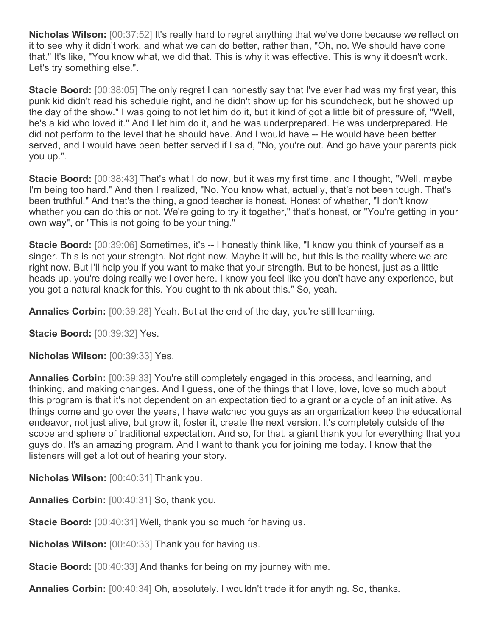**Nicholas Wilson:** [00:37:52] It's really hard to regret anything that we've done because we reflect on it to see why it didn't work, and what we can do better, rather than, "Oh, no. We should have done that." It's like, "You know what, we did that. This is why it was effective. This is why it doesn't work. Let's try something else.".

**Stacie Boord:** [00:38:05] The only regret I can honestly say that I've ever had was my first year, this punk kid didn't read his schedule right, and he didn't show up for his soundcheck, but he showed up the day of the show." I was going to not let him do it, but it kind of got a little bit of pressure of, "Well, he's a kid who loved it." And I let him do it, and he was underprepared. He was underprepared. He did not perform to the level that he should have. And I would have -- He would have been better served, and I would have been better served if I said, "No, you're out. And go have your parents pick you up.".

**Stacie Boord:** [00:38:43] That's what I do now, but it was my first time, and I thought, "Well, maybe I'm being too hard." And then I realized, "No. You know what, actually, that's not been tough. That's been truthful." And that's the thing, a good teacher is honest. Honest of whether, "I don't know whether you can do this or not. We're going to try it together," that's honest, or "You're getting in your own way", or "This is not going to be your thing."

**Stacie Boord:** [00:39:06] Sometimes, it's -- I honestly think like, "I know you think of yourself as a singer. This is not your strength. Not right now. Maybe it will be, but this is the reality where we are right now. But I'll help you if you want to make that your strength. But to be honest, just as a little heads up, you're doing really well over here. I know you feel like you don't have any experience, but you got a natural knack for this. You ought to think about this." So, yeah.

**Annalies Corbin:** [00:39:28] Yeah. But at the end of the day, you're still learning.

**Stacie Boord:** [00:39:32] Yes.

**Nicholas Wilson:** [00:39:33] Yes.

**Annalies Corbin:** [00:39:33] You're still completely engaged in this process, and learning, and thinking, and making changes. And I guess, one of the things that I love, love, love so much about this program is that it's not dependent on an expectation tied to a grant or a cycle of an initiative. As things come and go over the years, I have watched you guys as an organization keep the educational endeavor, not just alive, but grow it, foster it, create the next version. It's completely outside of the scope and sphere of traditional expectation. And so, for that, a giant thank you for everything that you guys do. It's an amazing program. And I want to thank you for joining me today. I know that the listeners will get a lot out of hearing your story.

**Nicholas Wilson:** [00:40:31] Thank you.

**Annalies Corbin:** [00:40:31] So, thank you.

**Stacie Boord:** [00:40:31] Well, thank you so much for having us.

**Nicholas Wilson:** [00:40:33] Thank you for having us.

**Stacie Boord:** [00:40:33] And thanks for being on my journey with me.

**Annalies Corbin:** [00:40:34] Oh, absolutely. I wouldn't trade it for anything. So, thanks.